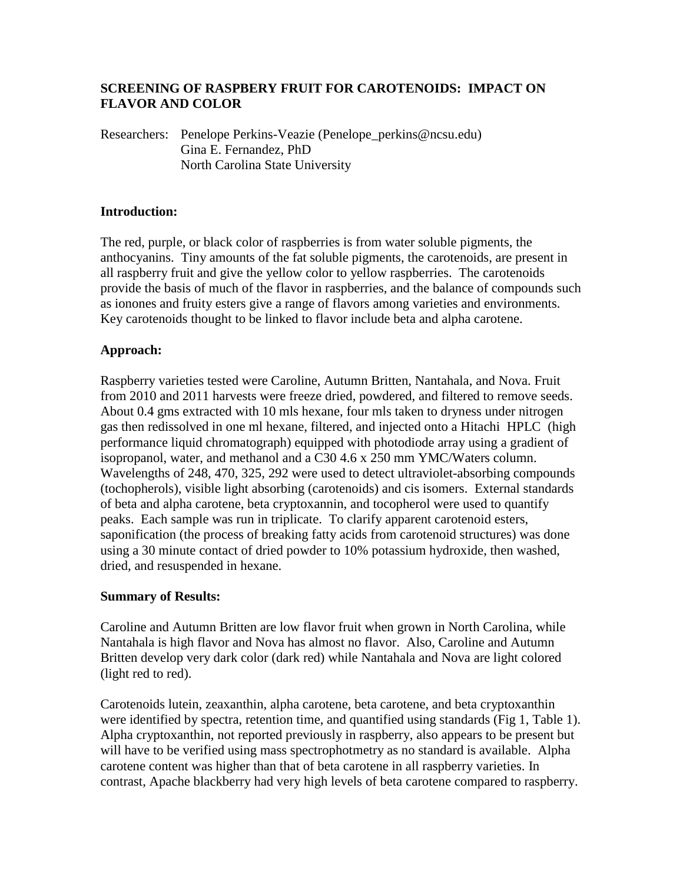# **SCREENING OF RASPBERY FRUIT FOR CAROTENOIDS: IMPACT ON FLAVOR AND COLOR**

Researchers: Penelope Perkins-Veazie (Penelope\_perkins@ncsu.edu) Gina E. Fernandez, PhD North Carolina State University

#### **Introduction:**

The red, purple, or black color of raspberries is from water soluble pigments, the anthocyanins. Tiny amounts of the fat soluble pigments, the carotenoids, are present in all raspberry fruit and give the yellow color to yellow raspberries. The carotenoids provide the basis of much of the flavor in raspberries, and the balance of compounds such as ionones and fruity esters give a range of flavors among varieties and environments. Key carotenoids thought to be linked to flavor include beta and alpha carotene.

### **Approach:**

Raspberry varieties tested were Caroline, Autumn Britten, Nantahala, and Nova. Fruit from 2010 and 2011 harvests were freeze dried, powdered, and filtered to remove seeds. About 0.4 gms extracted with 10 mls hexane, four mls taken to dryness under nitrogen gas then redissolved in one ml hexane, filtered, and injected onto a Hitachi HPLC (high performance liquid chromatograph) equipped with photodiode array using a gradient of isopropanol, water, and methanol and a C30 4.6 x 250 mm YMC/Waters column. Wavelengths of 248, 470, 325, 292 were used to detect ultraviolet-absorbing compounds (tochopherols), visible light absorbing (carotenoids) and cis isomers. External standards of beta and alpha carotene, beta cryptoxannin, and tocopherol were used to quantify peaks. Each sample was run in triplicate. To clarify apparent carotenoid esters, saponification (the process of breaking fatty acids from carotenoid structures) was done using a 30 minute contact of dried powder to 10% potassium hydroxide, then washed, dried, and resuspended in hexane.

### **Summary of Results:**

Caroline and Autumn Britten are low flavor fruit when grown in North Carolina, while Nantahala is high flavor and Nova has almost no flavor. Also, Caroline and Autumn Britten develop very dark color (dark red) while Nantahala and Nova are light colored (light red to red).

Carotenoids lutein, zeaxanthin, alpha carotene, beta carotene, and beta cryptoxanthin were identified by spectra, retention time, and quantified using standards (Fig 1, Table 1). Alpha cryptoxanthin, not reported previously in raspberry, also appears to be present but will have to be verified using mass spectrophotmetry as no standard is available. Alpha carotene content was higher than that of beta carotene in all raspberry varieties. In contrast, Apache blackberry had very high levels of beta carotene compared to raspberry.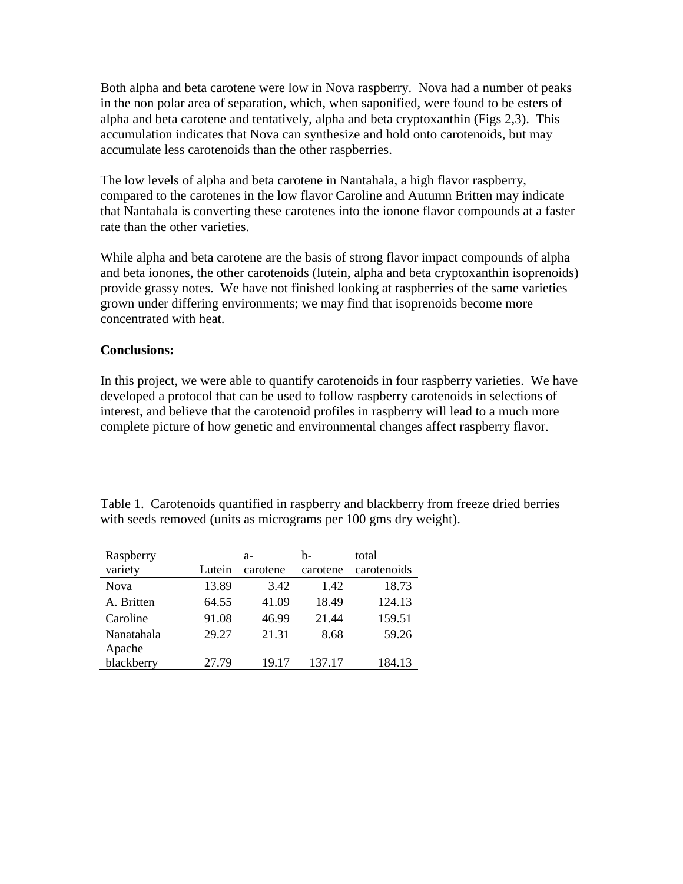Both alpha and beta carotene were low in Nova raspberry. Nova had a number of peaks in the non polar area of separation, which, when saponified, were found to be esters of alpha and beta carotene and tentatively, alpha and beta cryptoxanthin (Figs 2,3). This accumulation indicates that Nova can synthesize and hold onto carotenoids, but may accumulate less carotenoids than the other raspberries.

The low levels of alpha and beta carotene in Nantahala, a high flavor raspberry, compared to the carotenes in the low flavor Caroline and Autumn Britten may indicate that Nantahala is converting these carotenes into the ionone flavor compounds at a faster rate than the other varieties.

While alpha and beta carotene are the basis of strong flavor impact compounds of alpha and beta ionones, the other carotenoids (lutein, alpha and beta cryptoxanthin isoprenoids) provide grassy notes. We have not finished looking at raspberries of the same varieties grown under differing environments; we may find that isoprenoids become more concentrated with heat.

# **Conclusions:**

In this project, we were able to quantify carotenoids in four raspberry varieties. We have developed a protocol that can be used to follow raspberry carotenoids in selections of interest, and believe that the carotenoid profiles in raspberry will lead to a much more complete picture of how genetic and environmental changes affect raspberry flavor.

| Raspberry            |        | $a-$     | h-       | total       |
|----------------------|--------|----------|----------|-------------|
| variety              | Lutein | carotene | carotene | carotenoids |
| <b>Nova</b>          | 13.89  | 3.42     | 1.42     | 18.73       |
| A. Britten           | 64.55  | 41.09    | 18.49    | 124.13      |
| Caroline             | 91.08  | 46.99    | 21.44    | 159.51      |
| Nanatahala<br>Apache | 29.27  | 21.31    | 8.68     | 59.26       |
| blackberry           | 27.79  | 19.17    | 137.17   | 184.13      |

Table 1. Carotenoids quantified in raspberry and blackberry from freeze dried berries with seeds removed (units as micrograms per 100 gms dry weight).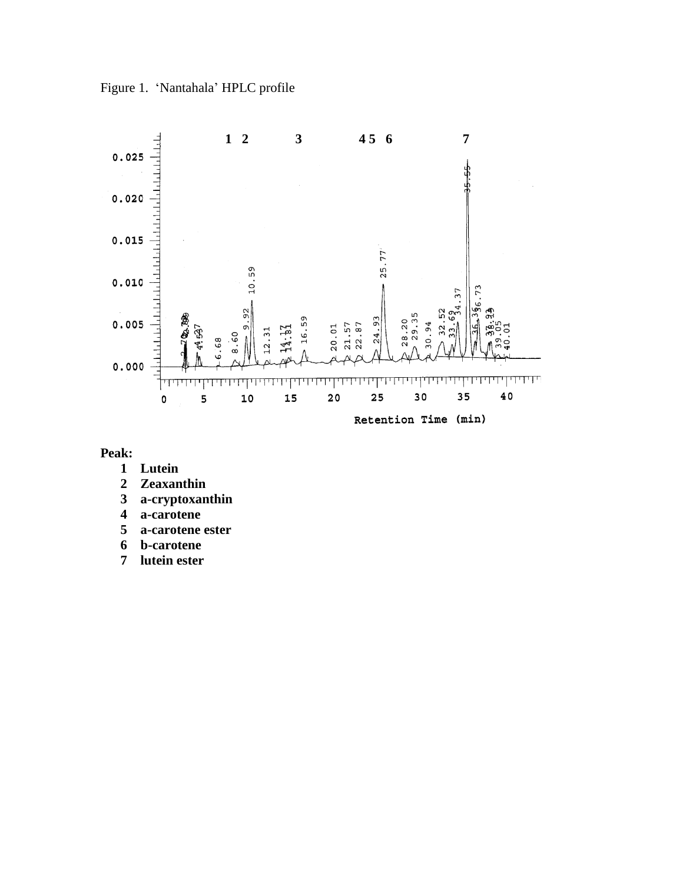Figure 1. 'Nantahala' HPLC profile



**Peak:**

- **Lutein**
- **Zeaxanthin**
- **a-cryptoxanthin**
- **a-carotene**
- **a-carotene ester**
- **b-carotene**
- **lutein ester**